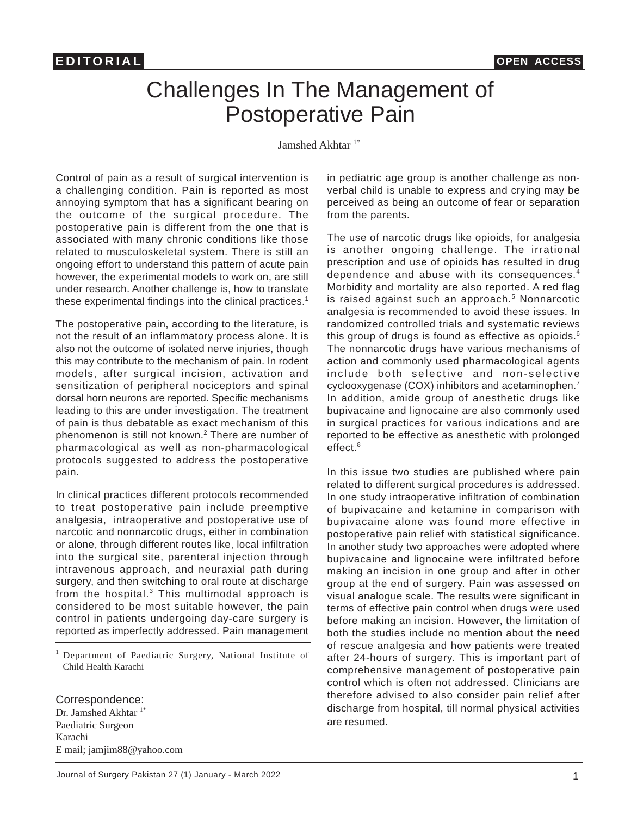## Challenges In The Management of Postoperative Pain

Jamshed Akhtar<sup>1\*</sup>

Control of pain as a result of surgical intervention is a challenging condition. Pain is reported as most annoying symptom that has a significant bearing on the outcome of the surgical procedure. The postoperative pain is different from the one that is associated with many chronic conditions like those related to musculoskeletal system. There is still an ongoing effort to understand this pattern of acute pain however, the experimental models to work on, are still under research. Another challenge is, how to translate these experimental findings into the clinical practices.<sup>1</sup>

The postoperative pain, according to the literature, is not the result of an inflammatory process alone. It is also not the outcome of isolated nerve injuries, though this may contribute to the mechanism of pain. In rodent models, after surgical incision, activation and sensitization of peripheral nociceptors and spinal dorsal horn neurons are reported. Specific mechanisms leading to this are under investigation. The treatment of pain is thus debatable as exact mechanism of this phenomenon is still not known.<sup>2</sup> There are number of pharmacological as well as non-pharmacological protocols suggested to address the postoperative pain.

In clinical practices different protocols recommended to treat postoperative pain include preemptive analgesia, intraoperative and postoperative use of narcotic and nonnarcotic drugs, either in combination or alone, through different routes like, local infiltration into the surgical site, parenteral injection through intravenous approach, and neuraxial path during surgery, and then switching to oral route at discharge from the hospital. $3$  This multimodal approach is considered to be most suitable however, the pain control in patients undergoing day-care surgery is reported as imperfectly addressed. Pain management

<sup>1</sup>Department of Paediatric Surgery, National Institute of Child Health Karachi

Correspondence: Dr. Jamshed Akhtar<sup>1\*</sup> Paediatric Surgeon Karachi E mail; jamjim88@yahoo.com

in pediatric age group is another challenge as nonverbal child is unable to express and crying may be perceived as being an outcome of fear or separation from the parents.

The use of narcotic drugs like opioids, for analgesia is another ongoing challenge. The irrational prescription and use of opioids has resulted in drug dependence and abuse with its consequences.<sup>4</sup> Morbidity and mortality are also reported. A red flag is raised against such an approach.<sup>5</sup> Nonnarcotic analgesia is recommended to avoid these issues. In randomized controlled trials and systematic reviews this group of drugs is found as effective as opioids. $6$ The nonnarcotic drugs have various mechanisms of action and commonly used pharmacological agents include both selective and non-selective cyclooxygenase (COX) inhibitors and acetaminophen.<sup>7</sup> In addition, amide group of anesthetic drugs like bupivacaine and lignocaine are also commonly used in surgical practices for various indications and are reported to be effective as anesthetic with prolonged effect.<sup>8</sup>

In this issue two studies are published where pain related to different surgical procedures is addressed. In one study intraoperative infiltration of combination of bupivacaine and ketamine in comparison with bupivacaine alone was found more effective in postoperative pain relief with statistical significance. In another study two approaches were adopted where bupivacaine and lignocaine were infiltrated before making an incision in one group and after in other group at the end of surgery. Pain was assessed on visual analogue scale. The results were significant in terms of effective pain control when drugs were used before making an incision. However, the limitation of both the studies include no mention about the need of rescue analgesia and how patients were treated after 24-hours of surgery. This is important part of comprehensive management of postoperative pain control which is often not addressed. Clinicians are therefore advised to also consider pain relief after discharge from hospital, till normal physical activities are resumed.